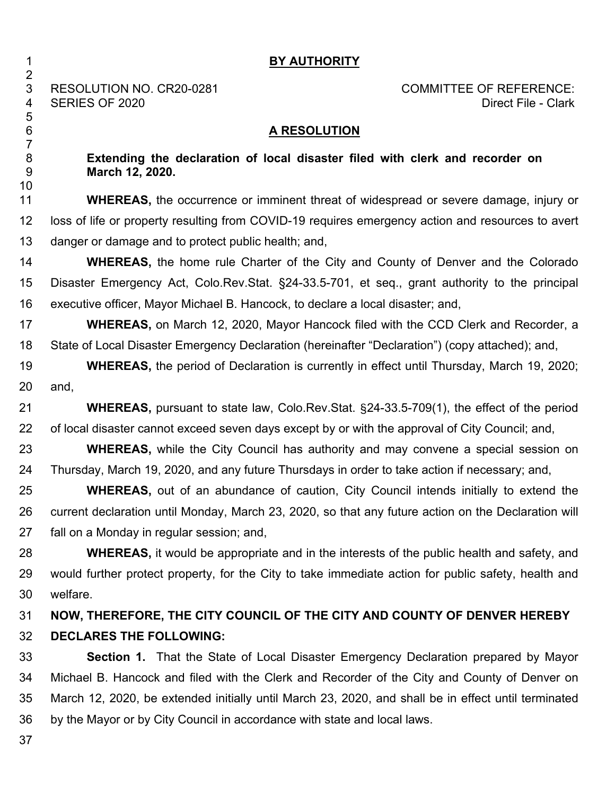| 1                              | <b>BY AUTHORITY</b>                                                                                        |
|--------------------------------|------------------------------------------------------------------------------------------------------------|
| $\overline{2}$<br>3<br>4       | RESOLUTION NO. CR20-0281<br><b>COMMITTEE OF REFERENCE:</b><br><b>SERIES OF 2020</b><br>Direct File - Clark |
| 5<br>$6\phantom{1}6$           | <b>A RESOLUTION</b>                                                                                        |
| $\overline{7}$<br>8<br>9<br>10 | Extending the declaration of local disaster filed with clerk and recorder on<br>March 12, 2020.            |
| 11                             | WHEREAS, the occurrence or imminent threat of widespread or severe damage, injury or                       |
| 12                             | loss of life or property resulting from COVID-19 requires emergency action and resources to avert          |
| 13                             | danger or damage and to protect public health; and,                                                        |
| 14                             | <b>WHEREAS, the home rule Charter of the City and County of Denver and the Colorado</b>                    |
| 15                             | Disaster Emergency Act, Colo.Rev.Stat. §24-33.5-701, et seq., grant authority to the principal             |
| 16                             | executive officer, Mayor Michael B. Hancock, to declare a local disaster; and,                             |
| 17                             | <b>WHEREAS, on March 12, 2020, Mayor Hancock filed with the CCD Clerk and Recorder, a</b>                  |
| 18                             | State of Local Disaster Emergency Declaration (hereinafter "Declaration") (copy attached); and,            |
| 19                             | WHEREAS, the period of Declaration is currently in effect until Thursday, March 19, 2020;                  |
| 20                             | and,                                                                                                       |
| 21                             | WHEREAS, pursuant to state law, Colo.Rev.Stat. §24-33.5-709(1), the effect of the period                   |
| 22                             | of local disaster cannot exceed seven days except by or with the approval of City Council; and,            |
| 23                             | <b>WHEREAS,</b> while the City Council has authority and may convene a special session on                  |
| 24                             | Thursday, March 19, 2020, and any future Thursdays in order to take action if necessary; and,              |
| 25                             | <b>WHEREAS,</b> out of an abundance of caution, City Council intends initially to extend the               |
| 26                             | current declaration until Monday, March 23, 2020, so that any future action on the Declaration will        |
| 27                             | fall on a Monday in regular session; and,                                                                  |
| 28                             | <b>WHEREAS</b> , it would be appropriate and in the interests of the public health and safety, and         |
| 29                             | would further protect property, for the City to take immediate action for public safety, health and        |
| 30                             | welfare.                                                                                                   |
| 31                             | NOW, THEREFORE, THE CITY COUNCIL OF THE CITY AND COUNTY OF DENVER HEREBY                                   |
| 32                             | <b>DECLARES THE FOLLOWING:</b>                                                                             |
| 33                             | <b>Section 1.</b> That the State of Local Disaster Emergency Declaration prepared by Mayor                 |
| 34                             | Michael B. Hancock and filed with the Clerk and Recorder of the City and County of Denver on               |
| 35                             | March 12, 2020, be extended initially until March 23, 2020, and shall be in effect until terminated        |
| 36                             | by the Mayor or by City Council in accordance with state and local laws.                                   |
| 37                             |                                                                                                            |